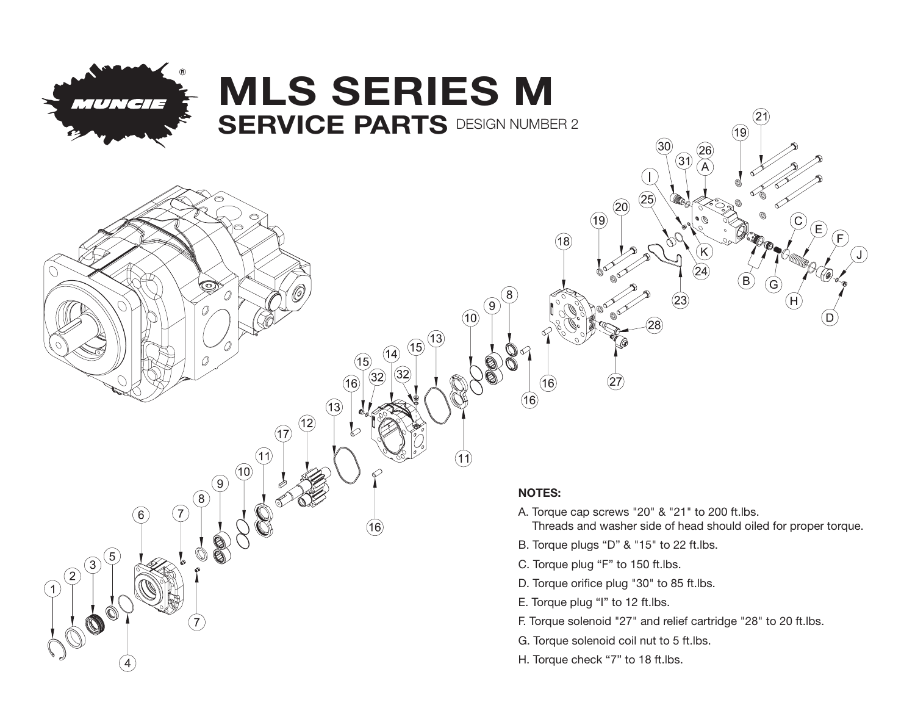

ත

## MLS SERIES M **SERVICE PARTS DESIGN NUMBER 2**

## NOTES:

- A. Torque cap screws "20" & "21" to 200 ft.lbs.
	- Threads and washer side of head should oiled for proper torque.

 $^{\prime}$ 21

G

 $E$ Έ

(19

26

B. Torque plugs "D" & "15" to 22 ft.lbs.

 $(20)$ 

 $(19)$ 

 $(18)$ 

8 ္ပြ

 $(10)$ 

 $(13)$  $(15)$ 

14

13

 $(12)$ 

 $(17)$ 

 $(11)$ 

 $(10)$ 

໌9ົ

6

- C. Torque plug "F" to 150 ft.lbs.
- D. Torque orifice plug "30" to 85 ft.lbs.
- E. Torque plug "I" to 12 ft.lbs.
- F. Torque solenoid "27" and relief cartridge "28" to 20 ft.lbs.
- G. Torque solenoid coil nut to 5 ft.lbs.
- H. Torque check "7" to 18 ft.lbs.